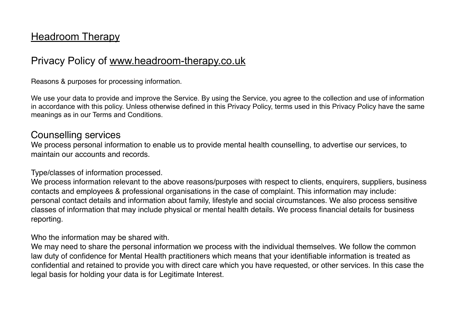# **Headroom Therapy**

# Privacy Policy of [www.headroom-therapy.co.uk](http://www.headroom-therapy.co.uk)

Reasons & purposes for processing information.

We use your data to provide and improve the Service. By using the Service, you agree to the collection and use of information in accordance with this policy. Unless otherwise defined in this Privacy Policy, terms used in this Privacy Policy have the same meanings as in our Terms and Conditions.

# Counselling services

We process personal information to enable us to provide mental health counselling, to advertise our services, to maintain our accounts and records.

#### Type/classes of information processed.

We process information relevant to the above reasons/purposes with respect to clients, enquirers, suppliers, business contacts and employees & professional organisations in the case of complaint. This information may include: personal contact details and information about family, lifestyle and social circumstances. We also process sensitive classes of information that may include physical or mental health details. We process financial details for business reporting.

Who the information may be shared with.

We may need to share the personal information we process with the individual themselves. We follow the common law duty of confidence for Mental Health practitioners which means that your identifiable information is treated as confidential and retained to provide you with direct care which you have requested, or other services. In this case the legal basis for holding your data is for Legitimate Interest.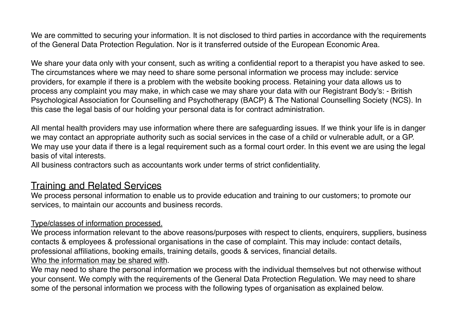We are committed to securing your information. It is not disclosed to third parties in accordance with the requirements of the General Data Protection Regulation. Nor is it transferred outside of the European Economic Area.

We share your data only with your consent, such as writing a confidential report to a therapist you have asked to see. The circumstances where we may need to share some personal information we process may include: service providers, for example if there is a problem with the website booking process. Retaining your data allows us to process any complaint you may make, in which case we may share your data with our Registrant Body's: - British Psychological Association for Counselling and Psychotherapy (BACP) & The National Counselling Society (NCS). In this case the legal basis of our holding your personal data is for contract administration.

All mental health providers may use information where there are safeguarding issues. If we think your life is in danger we may contact an appropriate authority such as social services in the case of a child or vulnerable adult, or a GP. We may use your data if there is a legal requirement such as a formal court order. In this event we are using the legal basis of vital interests.

All business contractors such as accountants work under terms of strict confidentiality.

## Training and Related Services

We process personal information to enable us to provide education and training to our customers; to promote our services, to maintain our accounts and business records.

#### Type/classes of information processed.

We process information relevant to the above reasons/purposes with respect to clients, enquirers, suppliers, business contacts & employees & professional organisations in the case of complaint. This may include: contact details, professional affiliations, booking emails, training details, goods & services, financial details. Who the information may be shared with.

We may need to share the personal information we process with the individual themselves but not otherwise without your consent. We comply with the requirements of the General Data Protection Regulation. We may need to share some of the personal information we process with the following types of organisation as explained below.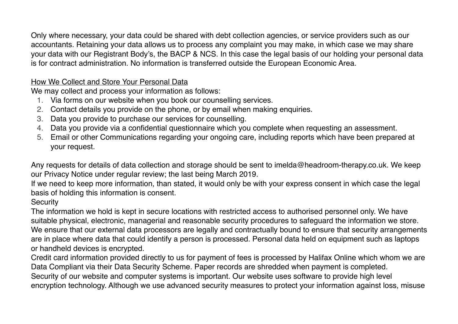Only where necessary, your data could be shared with debt collection agencies, or service providers such as our accountants. Retaining your data allows us to process any complaint you may make, in which case we may share your data with our Registrant Body's, the BACP & NCS. In this case the legal basis of our holding your personal data is for contract administration. No information is transferred outside the European Economic Area.

## How We Collect and Store Your Personal Data

We may collect and process your information as follows:

- 1. Via forms on our website when you book our counselling services.
- 2. Contact details you provide on the phone, or by email when making enquiries.
- 3. Data you provide to purchase our services for counselling.
- 4. Data you provide via a confidential questionnaire which you complete when requesting an assessment.
- 5. Email or other Communications regarding your ongoing care, including reports which have been prepared at your request.

Any requests for details of data collection and storage should be sent to imelda@headroom-therapy.co.uk. We keep our Privacy Notice under regular review; the last being March 2019.

If we need to keep more information, than stated, it would only be with your express consent in which case the legal basis of holding this information is consent.

### **Security**

The information we hold is kept in secure locations with restricted access to authorised personnel only. We have suitable physical, electronic, managerial and reasonable security procedures to safeguard the information we store. We ensure that our external data processors are legally and contractually bound to ensure that security arrangements are in place where data that could identify a person is processed. Personal data held on equipment such as laptops or handheld devices is encrypted.

Credit card information provided directly to us for payment of fees is processed by Halifax Online which whom we are Data Compliant via their Data Security Scheme. Paper records are shredded when payment is completed. Security of our website and computer systems is important. Our website uses software to provide high level encryption technology. Although we use advanced security measures to protect your information against loss, misuse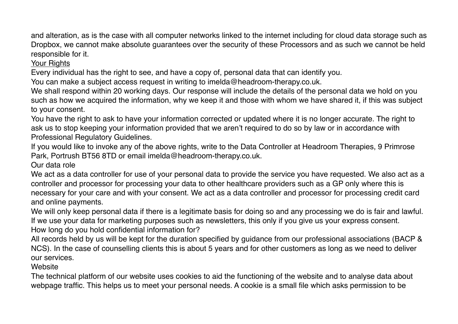and alteration, as is the case with all computer networks linked to the internet including for cloud data storage such as Dropbox, we cannot make absolute guarantees over the security of these Processors and as such we cannot be held responsible for it.

**Your Rights** 

Every individual has the right to see, and have a copy of, personal data that can identify you.

You can make a subject access request in writing to imelda@headroom-therapy.co.uk.

We shall respond within 20 working days. Our response will include the details of the personal data we hold on you such as how we acquired the information, why we keep it and those with whom we have shared it, if this was subject to your consent.

You have the right to ask to have your information corrected or updated where it is no longer accurate. The right to ask us to stop keeping your information provided that we aren't required to do so by law or in accordance with Professional Regulatory Guidelines.

If you would like to invoke any of the above rights, write to the Data Controller at Headroom Therapies, 9 Primrose Park, Portrush BT56 8TD or email imelda@headroom-therapy.co.uk.

Our data role

We act as a data controller for use of your personal data to provide the service you have requested. We also act as a controller and processor for processing your data to other healthcare providers such as a GP only where this is necessary for your care and with your consent. We act as a data controller and processor for processing credit card and online payments.

We will only keep personal data if there is a legitimate basis for doing so and any processing we do is fair and lawful. If we use your data for marketing purposes such as newsletters, this only if you give us your express consent. How long do you hold confidential information for?

All records held by us will be kept for the duration specified by guidance from our professional associations (BACP & NCS). In the case of counselling clients this is about 5 years and for other customers as long as we need to deliver our services.

**Website** 

The technical platform of our website uses cookies to aid the functioning of the website and to analyse data about webpage traffic. This helps us to meet your personal needs. A cookie is a small file which asks permission to be